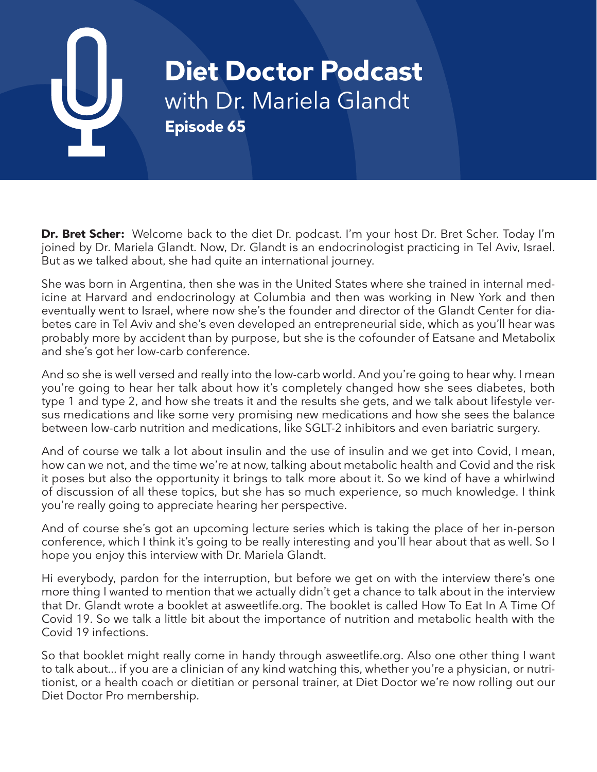# **Diet Doctor Podcast** with Dr. Mariela Glandt **Episode 65**

**Dr. Bret Scher:** Welcome back to the diet Dr. podcast. I'm your host Dr. Bret Scher. Today I'm joined by Dr. Mariela Glandt. Now, Dr. Glandt is an endocrinologist practicing in Tel Aviv, Israel. But as we talked about, she had quite an international journey.

She was born in Argentina, then she was in the United States where she trained in internal medicine at Harvard and endocrinology at Columbia and then was working in New York and then eventually went to Israel, where now she's the founder and director of the Glandt Center for diabetes care in Tel Aviv and she's even developed an entrepreneurial side, which as you'll hear was probably more by accident than by purpose, but she is the cofounder of Eatsane and Metabolix and she's got her low-carb conference.

And so she is well versed and really into the low-carb world. And you're going to hear why. I mean you're going to hear her talk about how it's completely changed how she sees diabetes, both type 1 and type 2, and how she treats it and the results she gets, and we talk about lifestyle versus medications and like some very promising new medications and how she sees the balance between low-carb nutrition and medications, like SGLT-2 inhibitors and even bariatric surgery.

And of course we talk a lot about insulin and the use of insulin and we get into Covid, I mean, how can we not, and the time we're at now, talking about metabolic health and Covid and the risk it poses but also the opportunity it brings to talk more about it. So we kind of have a whirlwind of discussion of all these topics, but she has so much experience, so much knowledge. I think you're really going to appreciate hearing her perspective.

And of course she's got an upcoming lecture series which is taking the place of her in-person conference, which I think it's going to be really interesting and you'll hear about that as well. So I hope you enjoy this interview with Dr. Mariela Glandt.

Hi everybody, pardon for the interruption, but before we get on with the interview there's one more thing I wanted to mention that we actually didn't get a chance to talk about in the interview that Dr. Glandt wrote a booklet at asweetlife.org. The booklet is called How To Eat In A Time Of Covid 19. So we talk a little bit about the importance of nutrition and metabolic health with the Covid 19 infections.

So that booklet might really come in handy through asweetlife.org. Also one other thing I want to talk about... if you are a clinician of any kind watching this, whether you're a physician, or nutritionist, or a health coach or dietitian or personal trainer, at Diet Doctor we're now rolling out our Diet Doctor Pro membership.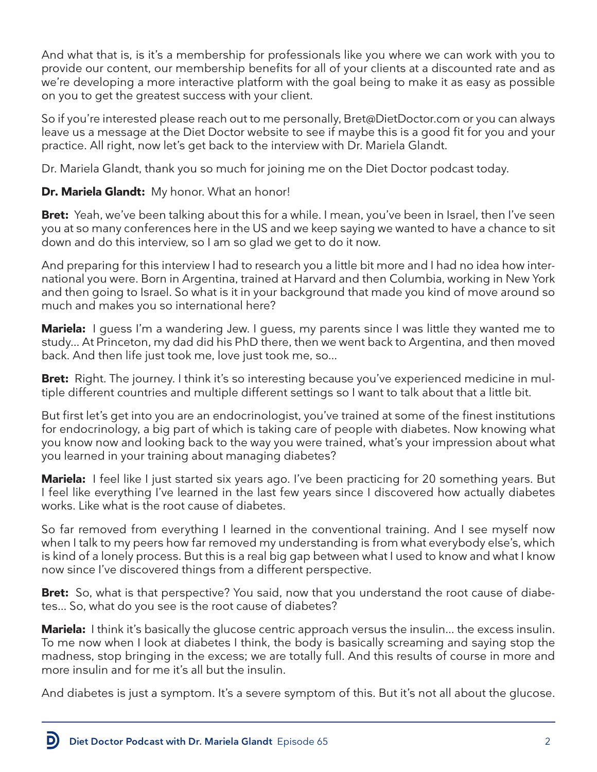And what that is, is it's a membership for professionals like you where we can work with you to provide our content, our membership benefits for all of your clients at a discounted rate and as we're developing a more interactive platform with the goal being to make it as easy as possible on you to get the greatest success with your client.

So if you're interested please reach out to me personally, Bret@DietDoctor.com or you can always leave us a message at the Diet Doctor website to see if maybe this is a good fit for you and your practice. All right, now let's get back to the interview with Dr. Mariela Glandt.

Dr. Mariela Glandt, thank you so much for joining me on the Diet Doctor podcast today.

# **Dr. Mariela Glandt:** My honor. What an honor!

**Bret:** Yeah, we've been talking about this for a while. I mean, you've been in Israel, then I've seen you at so many conferences here in the US and we keep saying we wanted to have a chance to sit down and do this interview, so I am so glad we get to do it now.

And preparing for this interview I had to research you a little bit more and I had no idea how international you were. Born in Argentina, trained at Harvard and then Columbia, working in New York and then going to Israel. So what is it in your background that made you kind of move around so much and makes you so international here?

**Mariela:** I guess I'm a wandering Jew. I guess, my parents since I was little they wanted me to study... At Princeton, my dad did his PhD there, then we went back to Argentina, and then moved back. And then life just took me, love just took me, so...

**Bret:** Right. The journey. I think it's so interesting because you've experienced medicine in multiple different countries and multiple different settings so I want to talk about that a little bit.

But first let's get into you are an endocrinologist, you've trained at some of the finest institutions for endocrinology, a big part of which is taking care of people with diabetes. Now knowing what you know now and looking back to the way you were trained, what's your impression about what you learned in your training about managing diabetes?

**Mariela:** I feel like I just started six years ago. I've been practicing for 20 something years. But I feel like everything I've learned in the last few years since I discovered how actually diabetes works. Like what is the root cause of diabetes.

So far removed from everything I learned in the conventional training. And I see myself now when I talk to my peers how far removed my understanding is from what everybody else's, which is kind of a lonely process. But this is a real big gap between what I used to know and what I know now since I've discovered things from a different perspective.

**Bret:** So, what is that perspective? You said, now that you understand the root cause of diabetes... So, what do you see is the root cause of diabetes?

**Mariela:** I think it's basically the glucose centric approach versus the insulin... the excess insulin. To me now when I look at diabetes I think, the body is basically screaming and saying stop the madness, stop bringing in the excess; we are totally full. And this results of course in more and more insulin and for me it's all but the insulin.

And diabetes is just a symptom. It's a severe symptom of this. But it's not all about the glucose.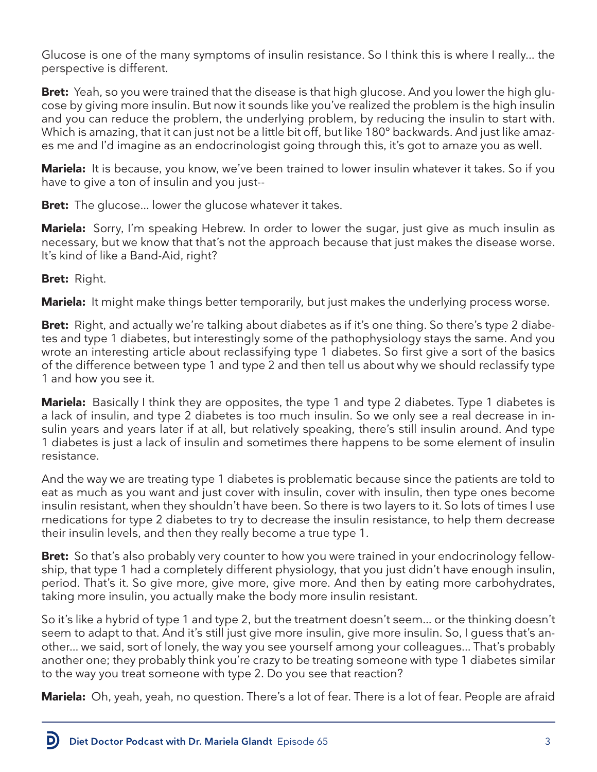Glucose is one of the many symptoms of insulin resistance. So I think this is where I really... the perspective is different.

**Bret:** Yeah, so you were trained that the disease is that high glucose. And you lower the high glucose by giving more insulin. But now it sounds like you've realized the problem is the high insulin and you can reduce the problem, the underlying problem, by reducing the insulin to start with. Which is amazing, that it can just not be a little bit off, but like 180° backwards. And just like amazes me and I'd imagine as an endocrinologist going through this, it's got to amaze you as well.

**Mariela:** It is because, you know, we've been trained to lower insulin whatever it takes. So if you have to give a ton of insulin and you just--

**Bret:** The glucose... lower the glucose whatever it takes.

**Mariela:** Sorry, I'm speaking Hebrew. In order to lower the sugar, just give as much insulin as necessary, but we know that that's not the approach because that just makes the disease worse. It's kind of like a Band-Aid, right?

**Bret:** Right.

**Mariela:** It might make things better temporarily, but just makes the underlying process worse.

**Bret:** Right, and actually we're talking about diabetes as if it's one thing. So there's type 2 diabetes and type 1 diabetes, but interestingly some of the pathophysiology stays the same. And you wrote an interesting article about reclassifying type 1 diabetes. So first give a sort of the basics of the difference between type 1 and type 2 and then tell us about why we should reclassify type 1 and how you see it.

**Mariela:** Basically I think they are opposites, the type 1 and type 2 diabetes. Type 1 diabetes is a lack of insulin, and type 2 diabetes is too much insulin. So we only see a real decrease in insulin years and years later if at all, but relatively speaking, there's still insulin around. And type 1 diabetes is just a lack of insulin and sometimes there happens to be some element of insulin resistance.

And the way we are treating type 1 diabetes is problematic because since the patients are told to eat as much as you want and just cover with insulin, cover with insulin, then type ones become insulin resistant, when they shouldn't have been. So there is two layers to it. So lots of times I use medications for type 2 diabetes to try to decrease the insulin resistance, to help them decrease their insulin levels, and then they really become a true type 1.

**Bret:** So that's also probably very counter to how you were trained in your endocrinology fellowship, that type 1 had a completely different physiology, that you just didn't have enough insulin, period. That's it. So give more, give more, give more. And then by eating more carbohydrates, taking more insulin, you actually make the body more insulin resistant.

So it's like a hybrid of type 1 and type 2, but the treatment doesn't seem... or the thinking doesn't seem to adapt to that. And it's still just give more insulin, give more insulin. So, I guess that's another... we said, sort of lonely, the way you see yourself among your colleagues... That's probably another one; they probably think you're crazy to be treating someone with type 1 diabetes similar to the way you treat someone with type 2. Do you see that reaction?

**Mariela:** Oh, yeah, yeah, no question. There's a lot of fear. There is a lot of fear. People are afraid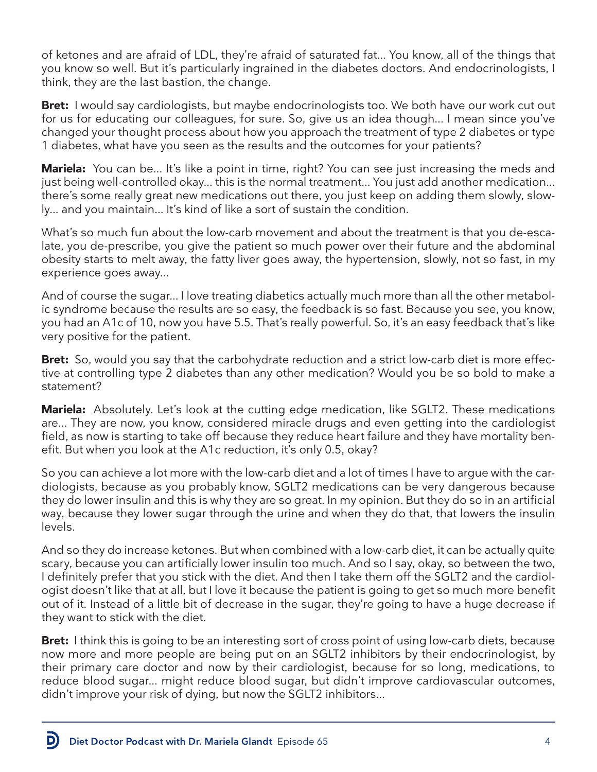of ketones and are afraid of LDL, they're afraid of saturated fat... You know, all of the things that you know so well. But it's particularly ingrained in the diabetes doctors. And endocrinologists, I think, they are the last bastion, the change.

**Bret:** I would say cardiologists, but maybe endocrinologists too. We both have our work cut out for us for educating our colleagues, for sure. So, give us an idea though... I mean since you've changed your thought process about how you approach the treatment of type 2 diabetes or type 1 diabetes, what have you seen as the results and the outcomes for your patients?

**Mariela:** You can be... It's like a point in time, right? You can see just increasing the meds and just being well-controlled okay... this is the normal treatment... You just add another medication... there's some really great new medications out there, you just keep on adding them slowly, slowly... and you maintain... It's kind of like a sort of sustain the condition.

What's so much fun about the low-carb movement and about the treatment is that you de-escalate, you de-prescribe, you give the patient so much power over their future and the abdominal obesity starts to melt away, the fatty liver goes away, the hypertension, slowly, not so fast, in my experience goes away...

And of course the sugar... I love treating diabetics actually much more than all the other metabolic syndrome because the results are so easy, the feedback is so fast. Because you see, you know, you had an A1c of 10, now you have 5.5. That's really powerful. So, it's an easy feedback that's like very positive for the patient.

**Bret:** So, would you say that the carbohydrate reduction and a strict low-carb diet is more effective at controlling type 2 diabetes than any other medication? Would you be so bold to make a statement?

**Mariela:** Absolutely. Let's look at the cutting edge medication, like SGLT2. These medications are... They are now, you know, considered miracle drugs and even getting into the cardiologist field, as now is starting to take off because they reduce heart failure and they have mortality benefit. But when you look at the A1c reduction, it's only 0.5, okay?

So you can achieve a lot more with the low-carb diet and a lot of times I have to argue with the cardiologists, because as you probably know, SGLT2 medications can be very dangerous because they do lower insulin and this is why they are so great. In my opinion. But they do so in an artificial way, because they lower sugar through the urine and when they do that, that lowers the insulin levels.

And so they do increase ketones. But when combined with a low-carb diet, it can be actually quite scary, because you can artificially lower insulin too much. And so I say, okay, so between the two, I definitely prefer that you stick with the diet. And then I take them off the SGLT2 and the cardiologist doesn't like that at all, but I love it because the patient is going to get so much more benefit out of it. Instead of a little bit of decrease in the sugar, they're going to have a huge decrease if they want to stick with the diet.

**Bret:** I think this is going to be an interesting sort of cross point of using low-carb diets, because now more and more people are being put on an SGLT2 inhibitors by their endocrinologist, by their primary care doctor and now by their cardiologist, because for so long, medications, to reduce blood sugar... might reduce blood sugar, but didn't improve cardiovascular outcomes, didn't improve your risk of dying, but now the SGLT2 inhibitors...

Diet Doctor Podcast with Dr. Mariela Glandt Episode 65 44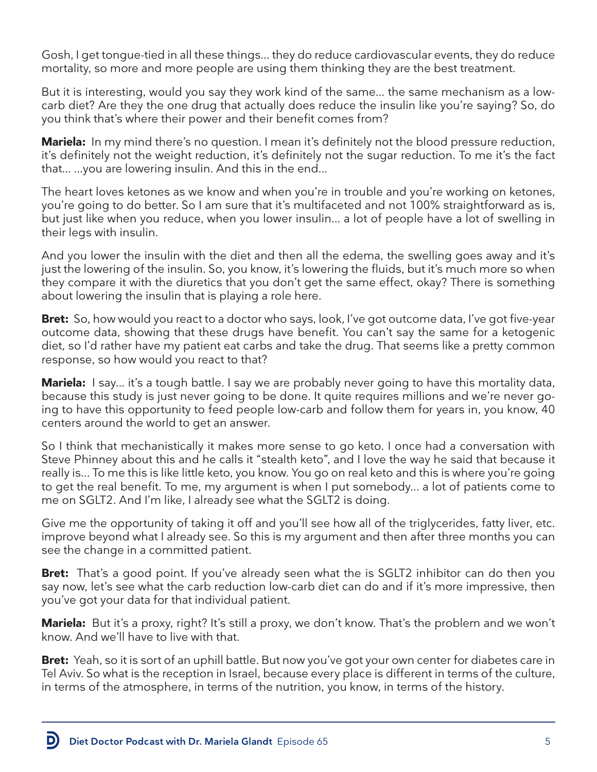Gosh, I get tongue-tied in all these things... they do reduce cardiovascular events, they do reduce mortality, so more and more people are using them thinking they are the best treatment.

But it is interesting, would you say they work kind of the same... the same mechanism as a lowcarb diet? Are they the one drug that actually does reduce the insulin like you're saying? So, do you think that's where their power and their benefit comes from?

**Mariela:** In my mind there's no question. I mean it's definitely not the blood pressure reduction, it's definitely not the weight reduction, it's definitely not the sugar reduction. To me it's the fact that... ...you are lowering insulin. And this in the end...

The heart loves ketones as we know and when you're in trouble and you're working on ketones, you're going to do better. So I am sure that it's multifaceted and not 100% straightforward as is, but just like when you reduce, when you lower insulin... a lot of people have a lot of swelling in their legs with insulin.

And you lower the insulin with the diet and then all the edema, the swelling goes away and it's just the lowering of the insulin. So, you know, it's lowering the fluids, but it's much more so when they compare it with the diuretics that you don't get the same effect, okay? There is something about lowering the insulin that is playing a role here.

**Bret:** So, how would you react to a doctor who says, look, I've got outcome data, I've got five-year outcome data, showing that these drugs have benefit. You can't say the same for a ketogenic diet, so I'd rather have my patient eat carbs and take the drug. That seems like a pretty common response, so how would you react to that?

**Mariela:** I say... it's a tough battle. I say we are probably never going to have this mortality data, because this study is just never going to be done. It quite requires millions and we're never going to have this opportunity to feed people low-carb and follow them for years in, you know, 40 centers around the world to get an answer.

So I think that mechanistically it makes more sense to go keto. I once had a conversation with Steve Phinney about this and he calls it "stealth keto", and I love the way he said that because it really is... To me this is like little keto, you know. You go on real keto and this is where you're going to get the real benefit. To me, my argument is when I put somebody... a lot of patients come to me on SGLT2. And I'm like, I already see what the SGLT2 is doing.

Give me the opportunity of taking it off and you'll see how all of the triglycerides, fatty liver, etc. improve beyond what I already see. So this is my argument and then after three months you can see the change in a committed patient.

**Bret:** That's a good point. If you've already seen what the is SGLT2 inhibitor can do then you say now, let's see what the carb reduction low-carb diet can do and if it's more impressive, then you've got your data for that individual patient.

**Mariela:** But it's a proxy, right? It's still a proxy, we don't know. That's the problem and we won't know. And we'll have to live with that.

**Bret:** Yeah, so it is sort of an uphill battle. But now you've got your own center for diabetes care in Tel Aviv. So what is the reception in Israel, because every place is different in terms of the culture, in terms of the atmosphere, in terms of the nutrition, you know, in terms of the history.

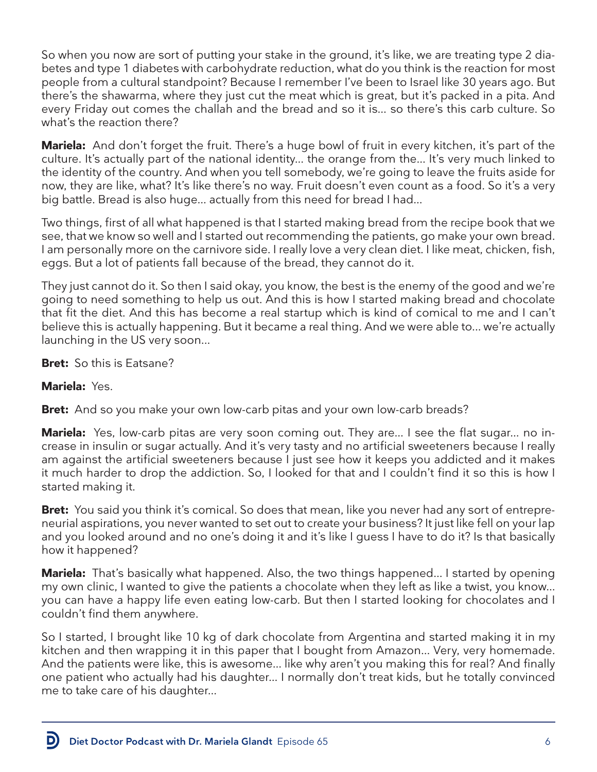So when you now are sort of putting your stake in the ground, it's like, we are treating type 2 diabetes and type 1 diabetes with carbohydrate reduction, what do you think is the reaction for most people from a cultural standpoint? Because I remember I've been to Israel like 30 years ago. But there's the shawarma, where they just cut the meat which is great, but it's packed in a pita. And every Friday out comes the challah and the bread and so it is... so there's this carb culture. So what's the reaction there?

**Mariela:** And don't forget the fruit. There's a huge bowl of fruit in every kitchen, it's part of the culture. It's actually part of the national identity... the orange from the... It's very much linked to the identity of the country. And when you tell somebody, we're going to leave the fruits aside for now, they are like, what? It's like there's no way. Fruit doesn't even count as a food. So it's a very big battle. Bread is also huge... actually from this need for bread I had...

Two things, first of all what happened is that I started making bread from the recipe book that we see, that we know so well and I started out recommending the patients, go make your own bread. I am personally more on the carnivore side. I really love a very clean diet. I like meat, chicken, fish, eggs. But a lot of patients fall because of the bread, they cannot do it.

They just cannot do it. So then I said okay, you know, the best is the enemy of the good and we're going to need something to help us out. And this is how I started making bread and chocolate that fit the diet. And this has become a real startup which is kind of comical to me and I can't believe this is actually happening. But it became a real thing. And we were able to... we're actually launching in the US very soon...

**Bret:** So this is Eatsane?

# **Mariela:** Yes.

D

**Bret:** And so you make your own low-carb pitas and your own low-carb breads?

**Mariela:** Yes, low-carb pitas are very soon coming out. They are... I see the flat sugar... no increase in insulin or sugar actually. And it's very tasty and no artificial sweeteners because I really am against the artificial sweeteners because I just see how it keeps you addicted and it makes it much harder to drop the addiction. So, I looked for that and I couldn't find it so this is how I started making it.

**Bret:** You said you think it's comical. So does that mean, like you never had any sort of entrepreneurial aspirations, you never wanted to set out to create your business? It just like fell on your lap and you looked around and no one's doing it and it's like I guess I have to do it? Is that basically how it happened?

**Mariela:** That's basically what happened. Also, the two things happened... I started by opening my own clinic, I wanted to give the patients a chocolate when they left as like a twist, you know... you can have a happy life even eating low-carb. But then I started looking for chocolates and I couldn't find them anywhere.

So I started, I brought like 10 kg of dark chocolate from Argentina and started making it in my kitchen and then wrapping it in this paper that I bought from Amazon... Very, very homemade. And the patients were like, this is awesome... like why aren't you making this for real? And finally one patient who actually had his daughter... I normally don't treat kids, but he totally convinced me to take care of his daughter...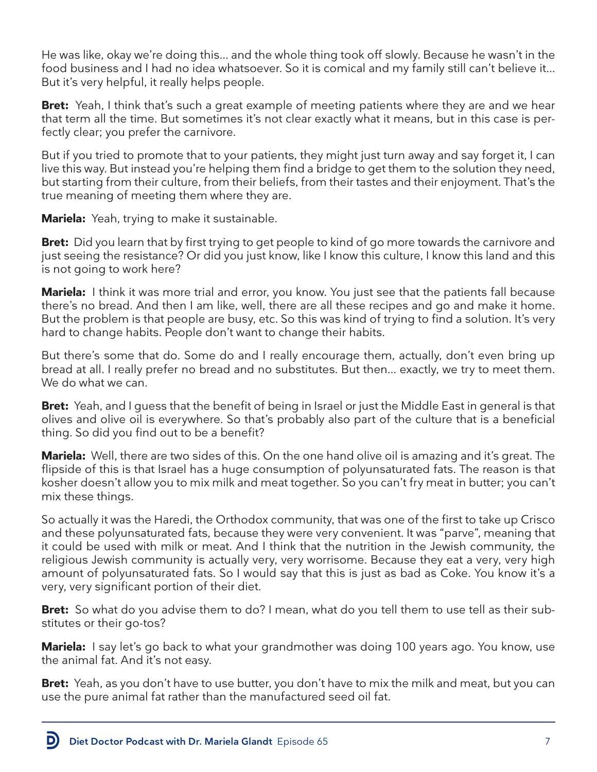He was like, okay we're doing this... and the whole thing took off slowly. Because he wasn't in the food business and I had no idea whatsoever. So it is comical and my family still can't believe it... But it's very helpful, it really helps people.

**Bret:** Yeah, I think that's such a great example of meeting patients where they are and we hear that term all the time. But sometimes it's not clear exactly what it means, but in this case is perfectly clear; you prefer the carnivore.

But if you tried to promote that to your patients, they might just turn away and say forget it, I can live this way. But instead you're helping them find a bridge to get them to the solution they need, but starting from their culture, from their beliefs, from their tastes and their enjoyment. That's the true meaning of meeting them where they are.

**Mariela:** Yeah, trying to make it sustainable.

**Bret:** Did you learn that by first trying to get people to kind of go more towards the carnivore and just seeing the resistance? Or did you just know, like I know this culture, I know this land and this is not going to work here?

**Mariela:** I think it was more trial and error, you know. You just see that the patients fall because there's no bread. And then I am like, well, there are all these recipes and go and make it home. But the problem is that people are busy, etc. So this was kind of trying to find a solution. It's very hard to change habits. People don't want to change their habits.

But there's some that do. Some do and I really encourage them, actually, don't even bring up bread at all. I really prefer no bread and no substitutes. But then... exactly, we try to meet them. We do what we can.

**Bret:** Yeah, and I guess that the benefit of being in Israel or just the Middle East in general is that olives and olive oil is everywhere. So that's probably also part of the culture that is a beneficial thing. So did you find out to be a benefit?

**Mariela:** Well, there are two sides of this. On the one hand olive oil is amazing and it's great. The flipside of this is that Israel has a huge consumption of polyunsaturated fats. The reason is that kosher doesn't allow you to mix milk and meat together. So you can't fry meat in butter; you can't mix these things.

So actually it was the Haredi, the Orthodox community, that was one of the first to take up Crisco and these polyunsaturated fats, because they were very convenient. It was "parve", meaning that it could be used with milk or meat. And I think that the nutrition in the Jewish community, the religious Jewish community is actually very, very worrisome. Because they eat a very, very high amount of polyunsaturated fats. So I would say that this is just as bad as Coke. You know it's a very, very significant portion of their diet.

**Bret:** So what do you advise them to do? I mean, what do you tell them to use tell as their substitutes or their go-tos?

**Mariela:** I say let's go back to what your grandmother was doing 100 years ago. You know, use the animal fat. And it's not easy.

**Bret:** Yeah, as you don't have to use butter, you don't have to mix the milk and meat, but you can use the pure animal fat rather than the manufactured seed oil fat.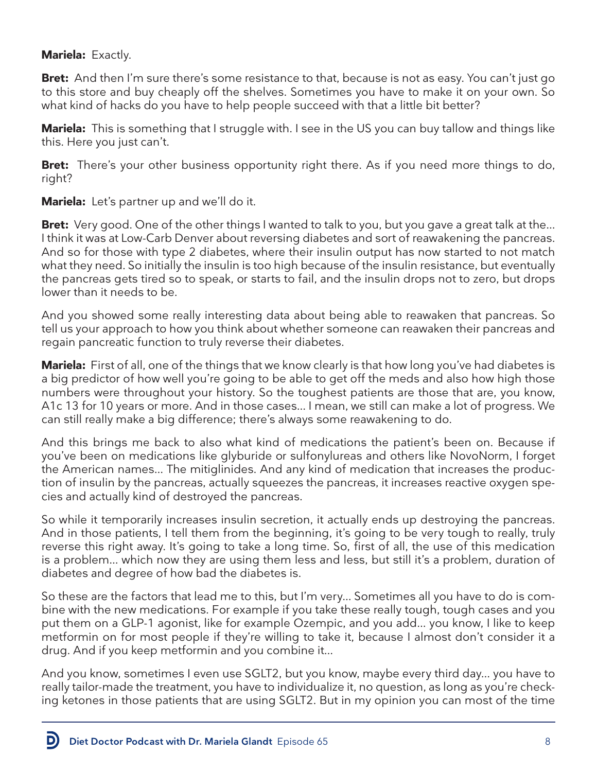# **Mariela:** Exactly.

**Bret:** And then I'm sure there's some resistance to that, because is not as easy. You can't just go to this store and buy cheaply off the shelves. Sometimes you have to make it on your own. So what kind of hacks do you have to help people succeed with that a little bit better?

**Mariela:** This is something that I struggle with. I see in the US you can buy tallow and things like this. Here you just can't.

**Bret:** There's your other business opportunity right there. As if you need more things to do, right?

**Mariela:** Let's partner up and we'll do it.

**Bret:** Very good. One of the other things I wanted to talk to you, but you gave a great talk at the... I think it was at Low-Carb Denver about reversing diabetes and sort of reawakening the pancreas. And so for those with type 2 diabetes, where their insulin output has now started to not match what they need. So initially the insulin is too high because of the insulin resistance, but eventually the pancreas gets tired so to speak, or starts to fail, and the insulin drops not to zero, but drops lower than it needs to be.

And you showed some really interesting data about being able to reawaken that pancreas. So tell us your approach to how you think about whether someone can reawaken their pancreas and regain pancreatic function to truly reverse their diabetes.

**Mariela:** First of all, one of the things that we know clearly is that how long you've had diabetes is a big predictor of how well you're going to be able to get off the meds and also how high those numbers were throughout your history. So the toughest patients are those that are, you know, A1c 13 for 10 years or more. And in those cases... I mean, we still can make a lot of progress. We can still really make a big difference; there's always some reawakening to do.

And this brings me back to also what kind of medications the patient's been on. Because if you've been on medications like glyburide or sulfonylureas and others like NovoNorm, I forget the American names... The mitiglinides. And any kind of medication that increases the production of insulin by the pancreas, actually squeezes the pancreas, it increases reactive oxygen species and actually kind of destroyed the pancreas.

So while it temporarily increases insulin secretion, it actually ends up destroying the pancreas. And in those patients, I tell them from the beginning, it's going to be very tough to really, truly reverse this right away. It's going to take a long time. So, first of all, the use of this medication is a problem... which now they are using them less and less, but still it's a problem, duration of diabetes and degree of how bad the diabetes is.

So these are the factors that lead me to this, but I'm very... Sometimes all you have to do is combine with the new medications. For example if you take these really tough, tough cases and you put them on a GLP-1 agonist, like for example Ozempic, and you add... you know, I like to keep metformin on for most people if they're willing to take it, because I almost don't consider it a drug. And if you keep metformin and you combine it...

And you know, sometimes I even use SGLT2, but you know, maybe every third day... you have to really tailor-made the treatment, you have to individualize it, no question, as long as you're checking ketones in those patients that are using SGLT2. But in my opinion you can most of the time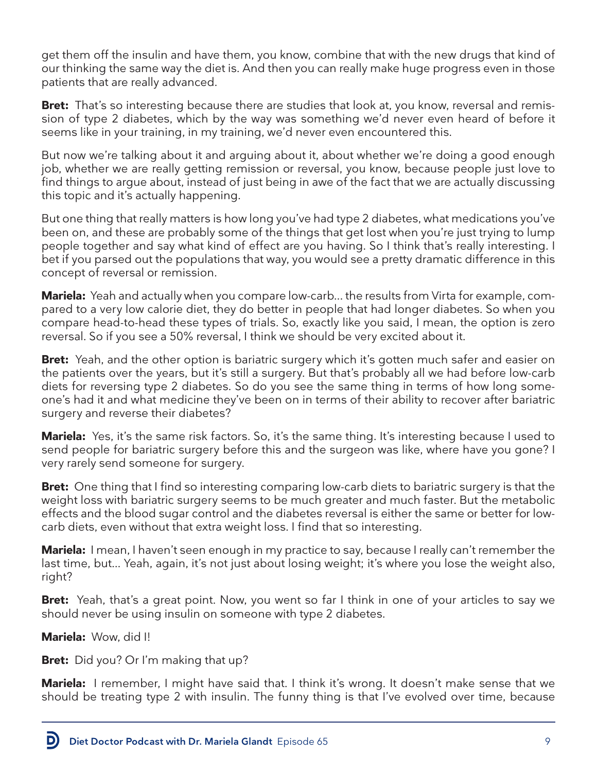get them off the insulin and have them, you know, combine that with the new drugs that kind of our thinking the same way the diet is. And then you can really make huge progress even in those patients that are really advanced.

**Bret:** That's so interesting because there are studies that look at, you know, reversal and remission of type 2 diabetes, which by the way was something we'd never even heard of before it seems like in your training, in my training, we'd never even encountered this.

But now we're talking about it and arguing about it, about whether we're doing a good enough job, whether we are really getting remission or reversal, you know, because people just love to find things to argue about, instead of just being in awe of the fact that we are actually discussing this topic and it's actually happening.

But one thing that really matters is how long you've had type 2 diabetes, what medications you've been on, and these are probably some of the things that get lost when you're just trying to lump people together and say what kind of effect are you having. So I think that's really interesting. I bet if you parsed out the populations that way, you would see a pretty dramatic difference in this concept of reversal or remission.

**Mariela:** Yeah and actually when you compare low-carb... the results from Virta for example, compared to a very low calorie diet, they do better in people that had longer diabetes. So when you compare head-to-head these types of trials. So, exactly like you said, I mean, the option is zero reversal. So if you see a 50% reversal, I think we should be very excited about it.

**Bret:** Yeah, and the other option is bariatric surgery which it's gotten much safer and easier on the patients over the years, but it's still a surgery. But that's probably all we had before low-carb diets for reversing type 2 diabetes. So do you see the same thing in terms of how long someone's had it and what medicine they've been on in terms of their ability to recover after bariatric surgery and reverse their diabetes?

**Mariela:** Yes, it's the same risk factors. So, it's the same thing. It's interesting because I used to send people for bariatric surgery before this and the surgeon was like, where have you gone? I very rarely send someone for surgery.

**Bret:** One thing that I find so interesting comparing low-carb diets to bariatric surgery is that the weight loss with bariatric surgery seems to be much greater and much faster. But the metabolic effects and the blood sugar control and the diabetes reversal is either the same or better for lowcarb diets, even without that extra weight loss. I find that so interesting.

**Mariela:** I mean, I haven't seen enough in my practice to say, because I really can't remember the last time, but... Yeah, again, it's not just about losing weight; it's where you lose the weight also, right?

**Bret:** Yeah, that's a great point. Now, you went so far I think in one of your articles to say we should never be using insulin on someone with type 2 diabetes.

**Mariela:** Wow, did I!

D

**Bret:** Did you? Or I'm making that up?

**Mariela:** I remember, I might have said that. I think it's wrong. It doesn't make sense that we should be treating type 2 with insulin. The funny thing is that I've evolved over time, because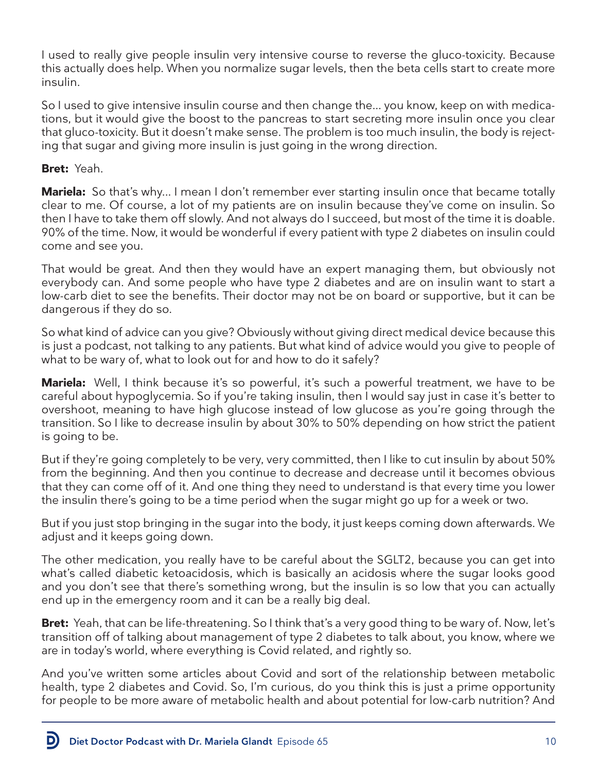I used to really give people insulin very intensive course to reverse the gluco-toxicity. Because this actually does help. When you normalize sugar levels, then the beta cells start to create more insulin.

So I used to give intensive insulin course and then change the... you know, keep on with medications, but it would give the boost to the pancreas to start secreting more insulin once you clear that gluco-toxicity. But it doesn't make sense. The problem is too much insulin, the body is rejecting that sugar and giving more insulin is just going in the wrong direction.

### **Bret:** Yeah.

D

**Mariela:** So that's why... I mean I don't remember ever starting insulin once that became totally clear to me. Of course, a lot of my patients are on insulin because they've come on insulin. So then I have to take them off slowly. And not always do I succeed, but most of the time it is doable. 90% of the time. Now, it would be wonderful if every patient with type 2 diabetes on insulin could come and see you.

That would be great. And then they would have an expert managing them, but obviously not everybody can. And some people who have type 2 diabetes and are on insulin want to start a low-carb diet to see the benefits. Their doctor may not be on board or supportive, but it can be dangerous if they do so.

So what kind of advice can you give? Obviously without giving direct medical device because this is just a podcast, not talking to any patients. But what kind of advice would you give to people of what to be wary of, what to look out for and how to do it safely?

**Mariela:** Well, I think because it's so powerful, it's such a powerful treatment, we have to be careful about hypoglycemia. So if you're taking insulin, then I would say just in case it's better to overshoot, meaning to have high glucose instead of low glucose as you're going through the transition. So I like to decrease insulin by about 30% to 50% depending on how strict the patient is going to be.

But if they're going completely to be very, very committed, then I like to cut insulin by about 50% from the beginning. And then you continue to decrease and decrease until it becomes obvious that they can come off of it. And one thing they need to understand is that every time you lower the insulin there's going to be a time period when the sugar might go up for a week or two.

But if you just stop bringing in the sugar into the body, it just keeps coming down afterwards. We adjust and it keeps going down.

The other medication, you really have to be careful about the SGLT2, because you can get into what's called diabetic ketoacidosis, which is basically an acidosis where the sugar looks good and you don't see that there's something wrong, but the insulin is so low that you can actually end up in the emergency room and it can be a really big deal.

**Bret:** Yeah, that can be life-threatening. So I think that's a very good thing to be wary of. Now, let's transition off of talking about management of type 2 diabetes to talk about, you know, where we are in today's world, where everything is Covid related, and rightly so.

And you've written some articles about Covid and sort of the relationship between metabolic health, type 2 diabetes and Covid. So, I'm curious, do you think this is just a prime opportunity for people to be more aware of metabolic health and about potential for low-carb nutrition? And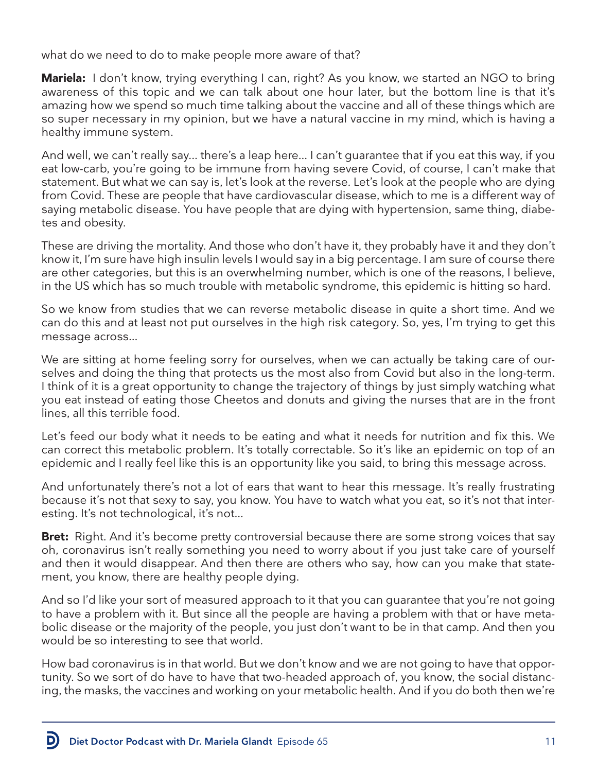what do we need to do to make people more aware of that?

**Mariela:** I don't know, trying everything I can, right? As you know, we started an NGO to bring awareness of this topic and we can talk about one hour later, but the bottom line is that it's amazing how we spend so much time talking about the vaccine and all of these things which are so super necessary in my opinion, but we have a natural vaccine in my mind, which is having a healthy immune system.

And well, we can't really say... there's a leap here... I can't guarantee that if you eat this way, if you eat low-carb, you're going to be immune from having severe Covid, of course, I can't make that statement. But what we can say is, let's look at the reverse. Let's look at the people who are dying from Covid. These are people that have cardiovascular disease, which to me is a different way of saying metabolic disease. You have people that are dying with hypertension, same thing, diabetes and obesity.

These are driving the mortality. And those who don't have it, they probably have it and they don't know it, I'm sure have high insulin levels I would say in a big percentage. I am sure of course there are other categories, but this is an overwhelming number, which is one of the reasons, I believe, in the US which has so much trouble with metabolic syndrome, this epidemic is hitting so hard.

So we know from studies that we can reverse metabolic disease in quite a short time. And we can do this and at least not put ourselves in the high risk category. So, yes, I'm trying to get this message across...

We are sitting at home feeling sorry for ourselves, when we can actually be taking care of ourselves and doing the thing that protects us the most also from Covid but also in the long-term. I think of it is a great opportunity to change the trajectory of things by just simply watching what you eat instead of eating those Cheetos and donuts and giving the nurses that are in the front lines, all this terrible food.

Let's feed our body what it needs to be eating and what it needs for nutrition and fix this. We can correct this metabolic problem. It's totally correctable. So it's like an epidemic on top of an epidemic and I really feel like this is an opportunity like you said, to bring this message across.

And unfortunately there's not a lot of ears that want to hear this message. It's really frustrating because it's not that sexy to say, you know. You have to watch what you eat, so it's not that interesting. It's not technological, it's not...

**Bret:** Right. And it's become pretty controversial because there are some strong voices that say oh, coronavirus isn't really something you need to worry about if you just take care of yourself and then it would disappear. And then there are others who say, how can you make that statement, you know, there are healthy people dying.

And so I'd like your sort of measured approach to it that you can guarantee that you're not going to have a problem with it. But since all the people are having a problem with that or have metabolic disease or the majority of the people, you just don't want to be in that camp. And then you would be so interesting to see that world.

How bad coronavirus is in that world. But we don't know and we are not going to have that opportunity. So we sort of do have to have that two-headed approach of, you know, the social distancing, the masks, the vaccines and working on your metabolic health. And if you do both then we're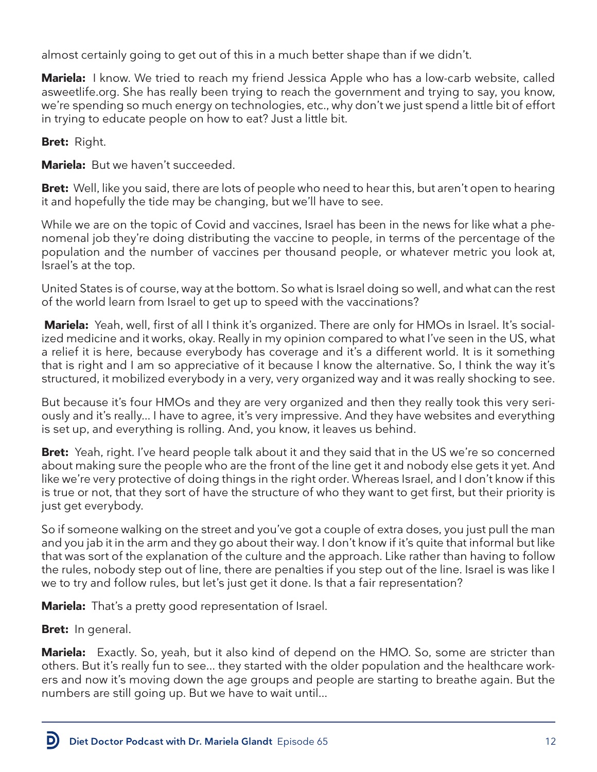almost certainly going to get out of this in a much better shape than if we didn't.

**Mariela:** I know. We tried to reach my friend Jessica Apple who has a low-carb website, called asweetlife.org. She has really been trying to reach the government and trying to say, you know, we're spending so much energy on technologies, etc., why don't we just spend a little bit of effort in trying to educate people on how to eat? Just a little bit.

**Bret:** Right.

**Mariela:** But we haven't succeeded.

**Bret:** Well, like you said, there are lots of people who need to hear this, but aren't open to hearing it and hopefully the tide may be changing, but we'll have to see.

While we are on the topic of Covid and vaccines, Israel has been in the news for like what a phenomenal job they're doing distributing the vaccine to people, in terms of the percentage of the population and the number of vaccines per thousand people, or whatever metric you look at, Israel's at the top.

United States is of course, way at the bottom. So what is Israel doing so well, and what can the rest of the world learn from Israel to get up to speed with the vaccinations?

**Mariela:** Yeah, well, first of all I think it's organized. There are only for HMOs in Israel. It's socialized medicine and it works, okay. Really in my opinion compared to what I've seen in the US, what a relief it is here, because everybody has coverage and it's a different world. It is it something that is right and I am so appreciative of it because I know the alternative. So, I think the way it's structured, it mobilized everybody in a very, very organized way and it was really shocking to see.

But because it's four HMOs and they are very organized and then they really took this very seriously and it's really... I have to agree, it's very impressive. And they have websites and everything is set up, and everything is rolling. And, you know, it leaves us behind.

**Bret:** Yeah, right. I've heard people talk about it and they said that in the US we're so concerned about making sure the people who are the front of the line get it and nobody else gets it yet. And like we're very protective of doing things in the right order. Whereas Israel, and I don't know if this is true or not, that they sort of have the structure of who they want to get first, but their priority is just get everybody.

So if someone walking on the street and you've got a couple of extra doses, you just pull the man and you jab it in the arm and they go about their way. I don't know if it's quite that informal but like that was sort of the explanation of the culture and the approach. Like rather than having to follow the rules, nobody step out of line, there are penalties if you step out of the line. Israel is was like I we to try and follow rules, but let's just get it done. Is that a fair representation?

**Mariela:** That's a pretty good representation of Israel.

**Bret:** In general.

D

**Mariela:** Exactly. So, yeah, but it also kind of depend on the HMO. So, some are stricter than others. But it's really fun to see... they started with the older population and the healthcare workers and now it's moving down the age groups and people are starting to breathe again. But the numbers are still going up. But we have to wait until...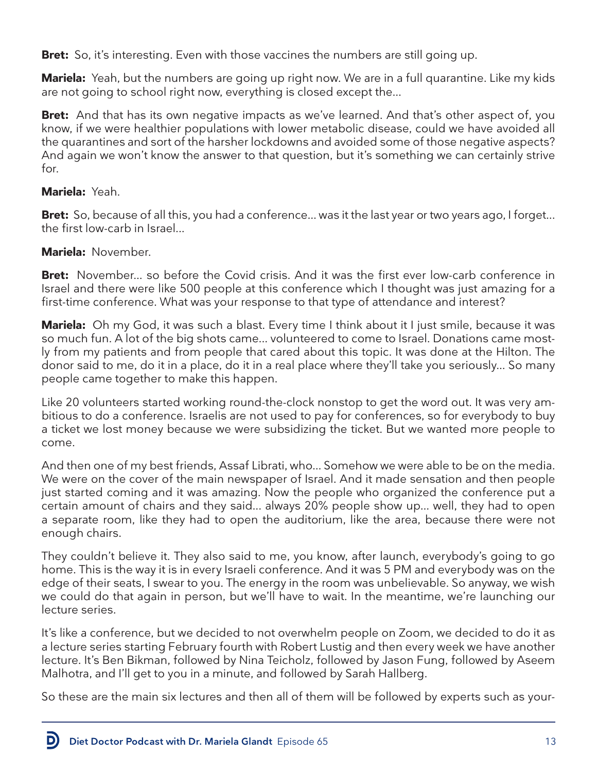**Bret:** So, it's interesting. Even with those vaccines the numbers are still going up.

**Mariela:** Yeah, but the numbers are going up right now. We are in a full quarantine. Like my kids are not going to school right now, everything is closed except the...

**Bret:** And that has its own negative impacts as we've learned. And that's other aspect of, you know, if we were healthier populations with lower metabolic disease, could we have avoided all the quarantines and sort of the harsher lockdowns and avoided some of those negative aspects? And again we won't know the answer to that question, but it's something we can certainly strive for.

#### **Mariela:** Yeah.

D

**Bret:** So, because of all this, you had a conference... was it the last year or two years ago, I forget... the first low-carb in Israel...

### **Mariela:** November.

**Bret:** November... so before the Covid crisis. And it was the first ever low-carb conference in Israel and there were like 500 people at this conference which I thought was just amazing for a first-time conference. What was your response to that type of attendance and interest?

**Mariela:** Oh my God, it was such a blast. Every time I think about it I just smile, because it was so much fun. A lot of the big shots came... volunteered to come to Israel. Donations came mostly from my patients and from people that cared about this topic. It was done at the Hilton. The donor said to me, do it in a place, do it in a real place where they'll take you seriously... So many people came together to make this happen.

Like 20 volunteers started working round-the-clock nonstop to get the word out. It was very ambitious to do a conference. Israelis are not used to pay for conferences, so for everybody to buy a ticket we lost money because we were subsidizing the ticket. But we wanted more people to come.

And then one of my best friends, Assaf Librati, who... Somehow we were able to be on the media. We were on the cover of the main newspaper of Israel. And it made sensation and then people just started coming and it was amazing. Now the people who organized the conference put a certain amount of chairs and they said... always 20% people show up... well, they had to open a separate room, like they had to open the auditorium, like the area, because there were not enough chairs.

They couldn't believe it. They also said to me, you know, after launch, everybody's going to go home. This is the way it is in every Israeli conference. And it was 5 PM and everybody was on the edge of their seats, I swear to you. The energy in the room was unbelievable. So anyway, we wish we could do that again in person, but we'll have to wait. In the meantime, we're launching our lecture series.

It's like a conference, but we decided to not overwhelm people on Zoom, we decided to do it as a lecture series starting February fourth with Robert Lustig and then every week we have another lecture. It's Ben Bikman, followed by Nina Teicholz, followed by Jason Fung, followed by Aseem Malhotra, and I'll get to you in a minute, and followed by Sarah Hallberg.

So these are the main six lectures and then all of them will be followed by experts such as your-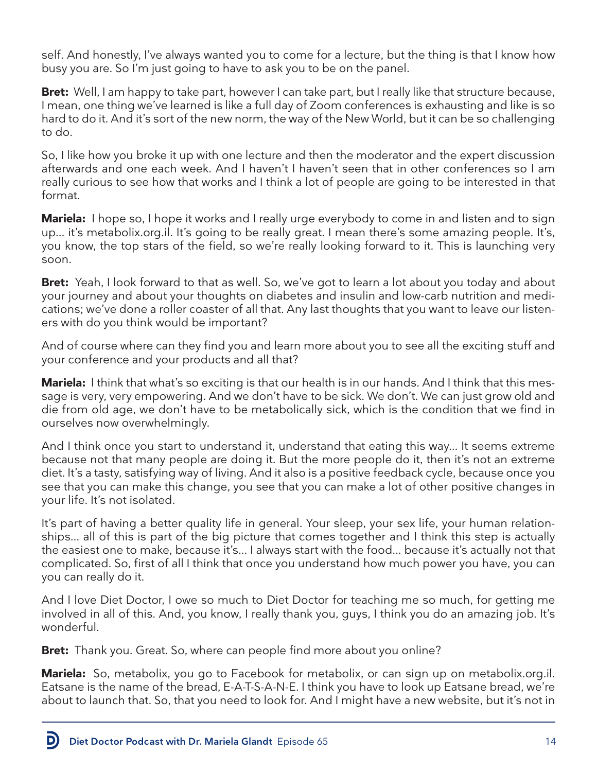self. And honestly, I've always wanted you to come for a lecture, but the thing is that I know how busy you are. So I'm just going to have to ask you to be on the panel.

**Bret:** Well, I am happy to take part, however I can take part, but I really like that structure because, I mean, one thing we've learned is like a full day of Zoom conferences is exhausting and like is so hard to do it. And it's sort of the new norm, the way of the New World, but it can be so challenging to do.

So, I like how you broke it up with one lecture and then the moderator and the expert discussion afterwards and one each week. And I haven't I haven't seen that in other conferences so I am really curious to see how that works and I think a lot of people are going to be interested in that format.

**Mariela:** I hope so, I hope it works and I really urge everybody to come in and listen and to sign up... it's metabolix.org.il. It's going to be really great. I mean there's some amazing people. It's, you know, the top stars of the field, so we're really looking forward to it. This is launching very soon.

**Bret:** Yeah, I look forward to that as well. So, we've got to learn a lot about you today and about your journey and about your thoughts on diabetes and insulin and low-carb nutrition and medications; we've done a roller coaster of all that. Any last thoughts that you want to leave our listeners with do you think would be important?

And of course where can they find you and learn more about you to see all the exciting stuff and your conference and your products and all that?

**Mariela:** I think that what's so exciting is that our health is in our hands. And I think that this message is very, very empowering. And we don't have to be sick. We don't. We can just grow old and die from old age, we don't have to be metabolically sick, which is the condition that we find in ourselves now overwhelmingly.

And I think once you start to understand it, understand that eating this way... It seems extreme because not that many people are doing it. But the more people do it, then it's not an extreme diet. It's a tasty, satisfying way of living. And it also is a positive feedback cycle, because once you see that you can make this change, you see that you can make a lot of other positive changes in your life. It's not isolated.

It's part of having a better quality life in general. Your sleep, your sex life, your human relationships... all of this is part of the big picture that comes together and I think this step is actually the easiest one to make, because it's... I always start with the food... because it's actually not that complicated. So, first of all I think that once you understand how much power you have, you can you can really do it.

And I love Diet Doctor, I owe so much to Diet Doctor for teaching me so much, for getting me involved in all of this. And, you know, I really thank you, guys, I think you do an amazing job. It's wonderful.

**Bret:** Thank you. Great. So, where can people find more about you online?

**Mariela:** So, metabolix, you go to Facebook for metabolix, or can sign up on metabolix.org.il. Eatsane is the name of the bread, E-A-T-S-A-N-E. I think you have to look up Eatsane bread, we're about to launch that. So, that you need to look for. And I might have a new website, but it's not in